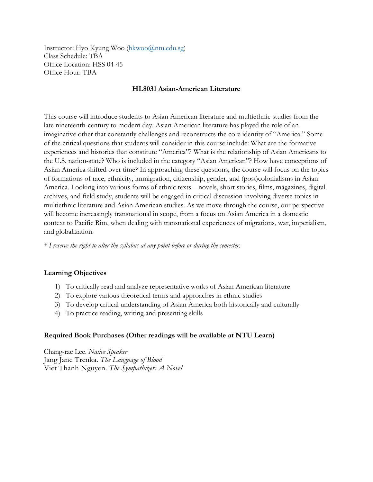Instructor: Hyo Kyung Woo [\(hkwoo@ntu.edu.sg\)](mailto:hkwoo@ntu.edu.sg) Class Schedule: TBA Office Location: HSS 04-45 Office Hour: TBA

### **HL8031 Asian-American Literature**

This course will introduce students to Asian American literature and multiethnic studies from the late nineteenth-century to modern day. Asian American literature has played the role of an imaginative other that constantly challenges and reconstructs the core identity of "America." Some of the critical questions that students will consider in this course include: What are the formative experiences and histories that constitute "America"? What is the relationship of Asian Americans to the U.S. nation-state? Who is included in the category "Asian American"? How have conceptions of Asian America shifted over time? In approaching these questions, the course will focus on the topics of formations of race, ethnicity, immigration, citizenship, gender, and (post)colonialisms in Asian America. Looking into various forms of ethnic texts—novels, short stories, films, magazines, digital archives, and field study, students will be engaged in critical discussion involving diverse topics in multiethnic literature and Asian American studies. As we move through the course, our perspective will become increasingly transnational in scope, from a focus on Asian America in a domestic context to Pacific Rim, when dealing with transnational experiences of migrations, war, imperialism, and globalization.

*\* I reserve the right to alter the syllabus at any point before or during the semester.*

# **Learning Objectives**

- 1) To critically read and analyze representative works of Asian American literature
- 2) To explore various theoretical terms and approaches in ethnic studies
- 3) To develop critical understanding of Asian America both historically and culturally
- 4) To practice reading, writing and presenting skills

# **Required Book Purchases (Other readings will be available at NTU Learn)**

Chang-rae Lee. *Native Speaker*  Jang Jane Trenka. *The Language of Blood* Viet Thanh Nguyen. *The Sympathizer: A Novel*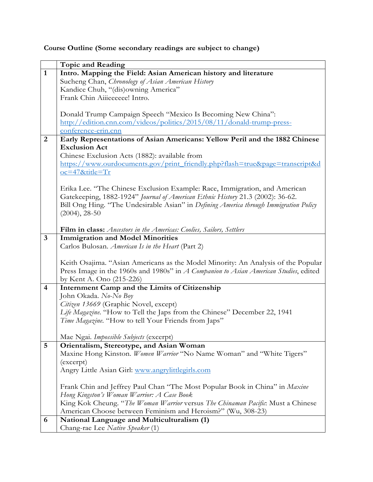**Course Outline (Some secondary readings are subject to change)** 

|                | <b>Topic and Reading</b>                                                              |
|----------------|---------------------------------------------------------------------------------------|
| $\mathbf{1}$   | Intro. Mapping the Field: Asian American history and literature                       |
|                | Sucheng Chan, Chronology of Asian American History                                    |
|                | Kandice Chuh, "(dis)owning America"                                                   |
|                | Frank Chin Aiiieeeeee! Intro.                                                         |
|                |                                                                                       |
|                | Donald Trump Campaign Speech "Mexico Is Becoming New China":                          |
|                | http://edition.cnn.com/videos/politics/2015/08/11/donald-trump-press-                 |
|                | conference-erin.cnn                                                                   |
| 2              | Early Representations of Asian Americans: Yellow Peril and the 1882 Chinese           |
|                | <b>Exclusion Act</b>                                                                  |
|                | Chinese Exclusion Acts (1882): available from                                         |
|                | https://www.ourdocuments.gov/print_friendly.php?flash=true&page=transcript&d          |
|                | $oc = 47$ &title=Tr                                                                   |
|                |                                                                                       |
|                | Erika Lee. "The Chinese Exclusion Example: Race, Immigration, and American            |
|                | Gatekeeping, 1882-1924" Journal of American Ethnic History 21.3 (2002): 36-62.        |
|                | Bill Ong Hing. "The Undesirable Asian" in Defining America through Immigration Policy |
|                | $(2004), 28-50$                                                                       |
|                |                                                                                       |
|                | Film in class: Ancestors in the Americas: Coolies, Sailors, Settlers                  |
| $\mathbf{3}$   | <b>Immigration and Model Minorities</b>                                               |
|                | Carlos Bulosan. American Is in the Heart (Part 2)                                     |
|                | Keith Osajima. "Asian Americans as the Model Minority: An Analysis of the Popular     |
|                | Press Image in the 1960s and 1980s" in A Companion to Asian American Studies, edited  |
|                | by Kent A. Ono (215-226)                                                              |
| $\overline{4}$ | Internment Camp and the Limits of Citizenship                                         |
|                | John Okada. No-No Boy                                                                 |
|                | Citizen 13669 (Graphic Novel, except)                                                 |
|                | Life Magazine. "How to Tell the Japs from the Chinese" December 22, 1941              |
|                | Time Magazine. "How to tell Your Friends from Japs"                                   |
|                |                                                                                       |
|                | Mae Ngai. Impossible Subjects (excerpt)                                               |
| 5              | Orientalism, Stereotype, and Asian Woman                                              |
|                | Maxine Hong Kinston. Women Warrior "No Name Woman" and "White Tigers"                 |
|                | (excerpt)                                                                             |
|                | Angry Little Asian Girl: www.angrylittlegirls.com                                     |
|                |                                                                                       |
|                | Frank Chin and Jeffrey Paul Chan "The Most Popular Book in China" in Maxine           |
|                | Hong Kingston's Woman Warrior: A Case Book                                            |
|                | King Kok Cheung. "The Woman Warrior versus The Chinaman Pacific: Must a Chinese       |
|                | American Choose between Feminism and Heroism?" (Wu, 308-23)                           |
| 6              | National Language and Multiculturalism (1)                                            |
|                | Chang-rae Lee Native Speaker (1)                                                      |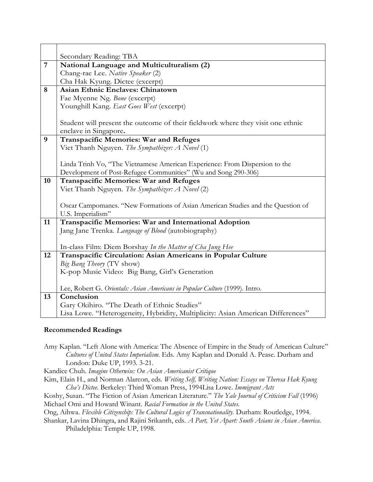| $\overline{7}$ | Secondary Reading: TBA<br>National Language and Multiculturalism (2)            |
|----------------|---------------------------------------------------------------------------------|
|                | Chang-rae Lee. Native Speaker (2)                                               |
|                | Cha Hak Kyung. Dictee (excerpt)                                                 |
| 8              | <b>Asian Ethnic Enclaves: Chinatown</b>                                         |
|                | Fae Myenne Ng. Bone (excerpt)                                                   |
|                | Younghill Kang. East Goes West (excerpt)                                        |
|                |                                                                                 |
|                | Student will present the outcome of their fieldwork where they visit one ethnic |
|                | enclave in Singapore.                                                           |
| 9              | <b>Transpacific Memories: War and Refuges</b>                                   |
|                | Viet Thanh Nguyen. The Sympathizer: A Novel (1)                                 |
|                |                                                                                 |
|                | Linda Trinh Vo, "The Vietnamese American Experience: From Dispersion to the     |
|                | Development of Post-Refugee Communities" (Wu and Song 290-306)                  |
| 10             | <b>Transpacific Memories: War and Refuges</b>                                   |
|                | Viet Thanh Nguyen. The Sympathizer: A Novel (2)                                 |
|                |                                                                                 |
|                | Oscar Campomanes. "New Formations of Asian American Studies and the Question of |
|                | U.S. Imperialism"                                                               |
| 11             | Transpacific Memories: War and International Adoption                           |
|                | Jang Jane Trenka. Language of Blood (autobiography)                             |
|                |                                                                                 |
|                | In-class Film: Diem Borshay In the Matter of Cha Jung Hee                       |
| 12             | Transpacific Circulation: Asian Americans in Popular Culture                    |
|                | Big Bang Theory (TV show)                                                       |
|                | K-pop Music Video: Big Bang, Girl's Generation                                  |
|                | Lee, Robert G. Orientals: Asian Americans in Popular Culture (1999). Intro.     |
| 13             | Conclusion                                                                      |
|                | Gary Okihiro. "The Death of Ethnic Studies"                                     |
|                | Lisa Lowe. "Heterogeneity, Hybridity, Multiplicity: Asian American Differences" |

# **Recommended Readings**

Amy Kaplan. "Left Alone with America: The Absence of Empire in the Study of American Culture" *Cultures of United States Imperialism*. Eds. Amy Kaplan and Donald A. Pease. Durham and London: Duke UP, 1993. 3-21.

Kandice Chuh. *Imagine Otherwise: On Asian Americanist Critique*

Kim, Elain H., and Norman Alarcon, eds. *Writing Self, Writing Nation: Essays on Theresa Hak Kyung Cha's Dictee.* Berkeley: Third Woman Press, 1994Lisa Lowe. *Immigrant Acts*

Koshy, Susan. "The Fiction of Asian American Literature." *The Yale Journal of Criticism Fall* (1996) Michael Omi and Howard Winant. *Racial Formation in the United States*.

Ong, Aihwa. *Flexible Citizenship: The Cultural Logics of Transnationality*. Durham: Routledge, 1994.

Shankar, Lavina Dhingra, and Rajini Srikanth, eds. *A Part, Yet Apart: South Asians in Asian America*. Philadelphia: Temple UP, 1998.